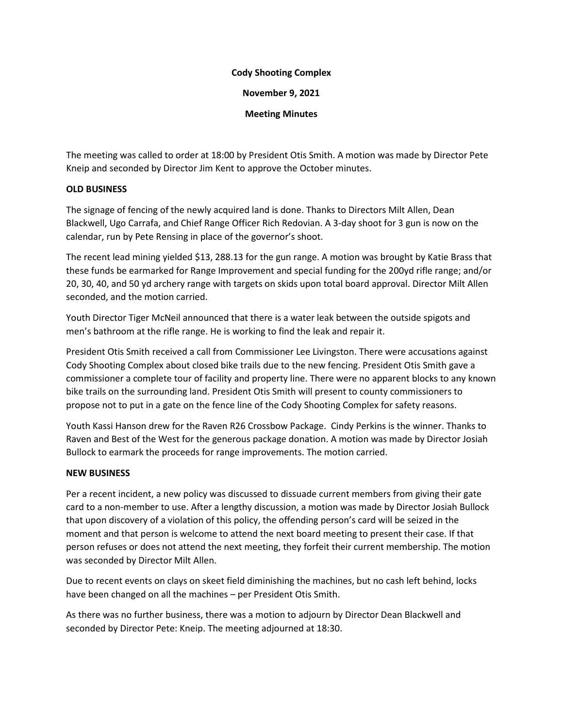## **Cody Shooting Complex**

**November 9, 2021**

**Meeting Minutes**

The meeting was called to order at 18:00 by President Otis Smith. A motion was made by Director Pete Kneip and seconded by Director Jim Kent to approve the October minutes.

## **OLD BUSINESS**

The signage of fencing of the newly acquired land is done. Thanks to Directors Milt Allen, Dean Blackwell, Ugo Carrafa, and Chief Range Officer Rich Redovian. A 3-day shoot for 3 gun is now on the calendar, run by Pete Rensing in place of the governor's shoot.

The recent lead mining yielded \$13, 288.13 for the gun range. A motion was brought by Katie Brass that these funds be earmarked for Range Improvement and special funding for the 200yd rifle range; and/or 20, 30, 40, and 50 yd archery range with targets on skids upon total board approval. Director Milt Allen seconded, and the motion carried.

Youth Director Tiger McNeil announced that there is a water leak between the outside spigots and men's bathroom at the rifle range. He is working to find the leak and repair it.

President Otis Smith received a call from Commissioner Lee Livingston. There were accusations against Cody Shooting Complex about closed bike trails due to the new fencing. President Otis Smith gave a commissioner a complete tour of facility and property line. There were no apparent blocks to any known bike trails on the surrounding land. President Otis Smith will present to county commissioners to propose not to put in a gate on the fence line of the Cody Shooting Complex for safety reasons.

Youth Kassi Hanson drew for the Raven R26 Crossbow Package. Cindy Perkins is the winner. Thanks to Raven and Best of the West for the generous package donation. A motion was made by Director Josiah Bullock to earmark the proceeds for range improvements. The motion carried.

## **NEW BUSINESS**

Per a recent incident, a new policy was discussed to dissuade current members from giving their gate card to a non-member to use. After a lengthy discussion, a motion was made by Director Josiah Bullock that upon discovery of a violation of this policy, the offending person's card will be seized in the moment and that person is welcome to attend the next board meeting to present their case. If that person refuses or does not attend the next meeting, they forfeit their current membership. The motion was seconded by Director Milt Allen.

Due to recent events on clays on skeet field diminishing the machines, but no cash left behind, locks have been changed on all the machines – per President Otis Smith.

As there was no further business, there was a motion to adjourn by Director Dean Blackwell and seconded by Director Pete: Kneip. The meeting adjourned at 18:30.